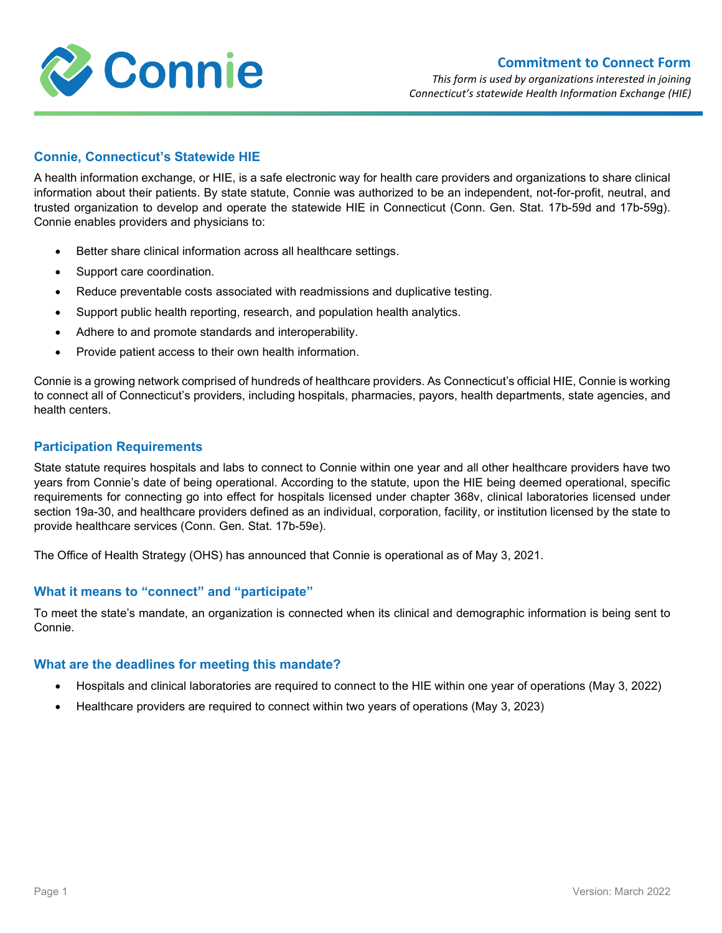

### **Commitment to Connect Form**

*This form is used by organizations interested in joining Connecticut's statewide Health Information Exchange (HIE)*

# **Connie, Connecticut's Statewide HIE**

A health information exchange, or HIE, is a safe electronic way for health care providers and organizations to share clinical information about their patients. By state statute, Connie was authorized to be an independent, not-for-profit, neutral, and trusted organization to develop and operate the statewide HIE in Connecticut (Conn. Gen. Stat. 17b-59d and 17b-59g). Connie enables providers and physicians to:

- Better share clinical information across all healthcare settings.
- Support care coordination.
- Reduce preventable costs associated with readmissions and duplicative testing.
- Support public health reporting, research, and population health analytics.
- Adhere to and promote standards and interoperability.
- Provide patient access to their own health information.

Connie is a growing network comprised of hundreds of healthcare providers. As Connecticut's official HIE, Connie is working to connect all of Connecticut's providers, including hospitals, pharmacies, payors, health departments, state agencies, and health centers.

## **Participation Requirements**

State statute requires hospitals and labs to connect to Connie within one year and all other healthcare providers have two years from Connie's date of being operational. According to the statute, upon the HIE being deemed operational, specific requirements for connecting go into effect for hospitals licensed under chapter 368v, clinical laboratories licensed under section 19a-30, and healthcare providers defined as an individual, corporation, facility, or institution licensed by the state to provide healthcare services (Conn. Gen. Stat. 17b-59e).

The Office of Health Strategy (OHS) has announced that Connie is operational as of May 3, 2021.

### **What it means to "connect" and "participate"**

To meet the state's mandate, an organization is connected when its clinical and demographic information is being sent to Connie.

### **What are the deadlines for meeting this mandate?**

- Hospitals and clinical laboratories are required to connect to the HIE within one year of operations (May 3, 2022)
- Healthcare providers are required to connect within two years of operations (May 3, 2023)